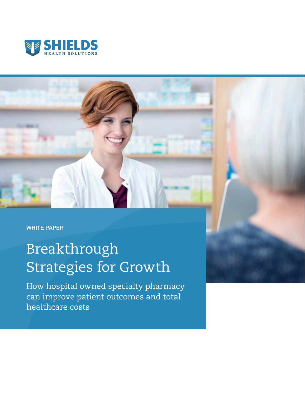



# Breakthrough Strategies for Growth

How hospital owned specialty pharmacy can improve patient outcomes and total healthcare costs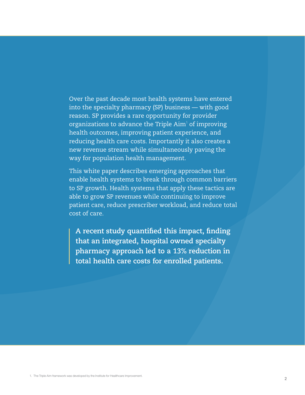Over the past decade most health systems have entered into the specialty pharmacy (SP) business — with good reason. SP provides a rare opportunity for provider organizations to advance the Triple  $\mathop{\rm Aim^1}$  of improving health outcomes, improving patient experience, and reducing health care costs. Importantly it also creates a new revenue stream while simultaneously paving the way for population health management.

This white paper describes emerging approaches that enable health systems to break through common barriers to SP growth. Health systems that apply these tactics are able to grow SP revenues while continuing to improve patient care, reduce prescriber workload, and reduce total cost of care.

**A recent study quantified this impact, finding that an integrated, hospital owned specialty pharmacy approach led to a 13% reduction in total health care costs for enrolled patients.**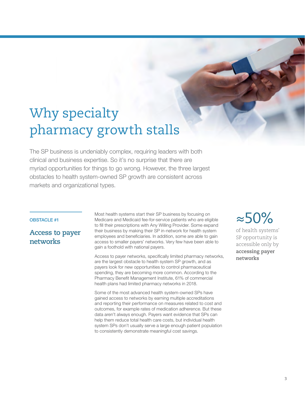# Why specialty pharmacy growth stalls

The SP business is undeniably complex, requiring leaders with both clinical and business expertise. So it's no surprise that there are myriad opportunities for things to go wrong. However, the three largest obstacles to health system-owned SP growth are consistent across markets and organizational types.

## OBSTACLE #1

## **Access to payer networks**

Most health systems start their SP business by focusing on Medicare and Medicaid fee-for-service patients who are eligible to fill their prescriptions with Any Willing Provider. Some expand their business by making their SP in-network for health system employees and beneficiaries. In addition, some are able to gain access to smaller payers' networks. Very few have been able to gain a foothold with national payers.

Access to payer networks, specifically limited pharmacy networks, are the largest obstacle to health system SP growth, and as payers look for new opportunities to control pharmaceutical spending, they are becoming more common. According to the Pharmacy Benefit Management Institute, 61% of commercial health plans had limited pharmacy networks in 2018.

Some of the most advanced health system-owned SPs have gained access to networks by earning multiple accreditations and reporting their performance on measures related to cost and outcomes, for example rates of medication adherence. But these data aren't always enough. Payers want evidence that SPs can help them reduce total health care costs, but individual health system SPs don't usually serve a large enough patient population to consistently demonstrate meaningful cost savings.

≈50%

of health systems' SP opportunity is accessible only by **accessing payer networks**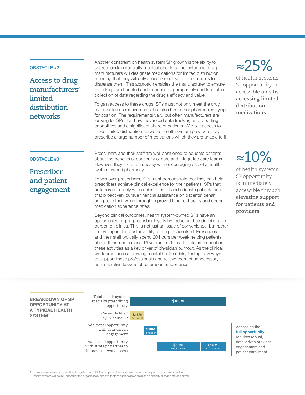## OBSTACLE #2

OBSTACLE #3

**Prescriber and patient engagement**

**Access to drug manufacturers' limited distribution networks** 

Another constraint on health system SP growth is the ability to source certain specialty medications. In some instances, drug manufacturers will designate medications for limited distribution, meaning that they will only allow a select set of pharmacies to dispense them. This approach enables the manufacturer to ensure that drugs are handled and dispensed appropriately and facilitates collection of data regarding the drug's efficacy and value.

To gain access to these drugs, SPs must not only meet the drug manufacturer's requirements, but also beat other pharmacies vying for position. The requirements vary, but often manufacturers are looking for SPs that have advanced data tracking and reporting capabilities and a significant share of patients. Without access to these limited distribution networks, health system providers may prescribe a large number of medications which they are unable to fill.

Prescribers and their staff are well positioned to educate patients about the benefits of continuity of care and integrated care teams. However, they are often uneasy with encouraging use of a healthsystem owned pharmacy.

To win over prescribers, SPs must demonstrate that they can help prescribers achieve clinical excellence for their patients. SPs that collaborate closely with clinics to enroll and educate patients and that proactively pursue financial assistance on patients' behalf can prove their value through improved time to therapy and strong medication adherence rates.

Beyond clinical outcomes, health system-owned SPs have an opportunity to gain prescriber loyalty by reducing the administrative burden on clinics. This is not just an issue of convenience, but rather it may impact the sustainability of the practice itself. Prescribers and their staff typically spend 20 hours per week helping patients obtain their medications. Physician leaders attribute time spent on these activities as a key driver of physician burnout. As the clinical workforce faces a growing mental health crisis, finding new ways to support these professionals and relieve them of unnecessary administrative tasks is of paramount importance.

# ≈25%

of health systems' SP opportunity is accessible only by **accessing limited distribution medications**

≈10%

of health systems' SP opportunity is immediately accessible through **elevating support for patients and providers**



**full opportunity** requires robust, data-driven provider engagement and

## 1. Numbers represent a typical health system with \$1B in net patient service revenue. Actual opportunity for an individual

health system will be influenced by the organization-specific factors such as payer mix and specialty disease states served.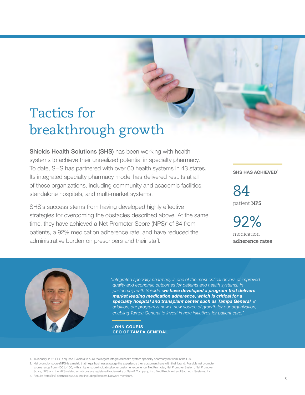# Tactics for breakthrough growth

Shields Health Solutions (SHS) has been working with health systems to achieve their unrealized potential in specialty pharmacy. To date, SHS has partnered with over 60 health systems in 43 states.<sup>1</sup> Its integrated specialty pharmacy model has delivered results at all of these organizations, including community and academic facilities, standalone hospitals, and multi-market systems.

SHS's success stems from having developed highly effective strategies for overcoming the obstacles described above. At the same time, they have achieved a Net Promoter Score (NPS) $^2$  of 84 from patients, a 92% medication adherence rate, and have reduced the administrative burden on prescribers and their staff.

**SHS HAS ACHIEVED<sup>3</sup>**

84 patient **NPS**

92% medication **adherence rates**



*"Integrated specialty pharmacy is one of the most critical drivers of improved quality and economic outcomes for patients and health systems. In partnership with Shields, we have developed a program that delivers market leading medication adherence, which is critical for a specialty hospital and transplant center such as Tampa General. In addition, our program is now a new source of growth for our organization, enabling Tampa General to invest in new initiatives for patient care."*

**JOHN COURIS CEO OF TAMPA GENERAL**

- 1. In January, 2021 SHS acquired Excelera to build the largest integrated health system specialty pharmacy network in the U.S.
- 2. Net promotor score (NPS) is a metric that helps businesses gauge the experience their customers have with their brand. Possible net promoter scores range from -100 to 100, with a higher score indicating better customer experience. Net Promoter, Net Promoter System, Net Promoter Score, NPS and the NPS-related emoticons are registered trademarks of Bain & Company, Inc., Fred Reichheld and Satmetrix Systems, Inc.
- 3. Results from SHS partners in 2020, not including Excelera Network members.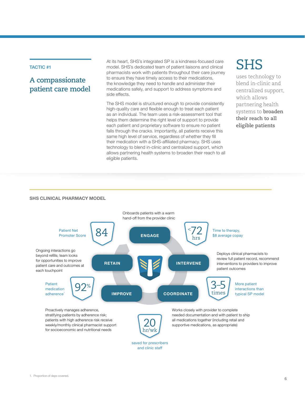## TACTIC #1

## **A compassionate patient care model**

At its heart, SHS's integrated SP is a kindness-focused care model. SHS's dedicated team of patient liaisons and clinical pharmacists work with patients throughout their care journey to ensure they have timely access to their medications, the knowledge they need to handle and administer their medications safely, and support to address symptoms and side effects.

The SHS model is structured enough to provide consistently high-quality care and flexible enough to treat each patient as an individual. The team uses a risk-assessment tool that helps them determine the right level of support to provide each patient and proprietary software to ensure no patient falls through the cracks. Importantly, all patients receive this same high level of service, regardless of whether they fill their medication with a SHS-affiliated pharmacy. SHS uses technology to blend in-clinic and centralized support, which allows partnering health systems to broaden their reach to all eligible patients.

## SHS

uses technology to blend in-clinic and centralized support, which allows partnering health systems to **broaden their reach to all eligible patients**

#### **SHS CLINICAL PHARMACY MODEL**

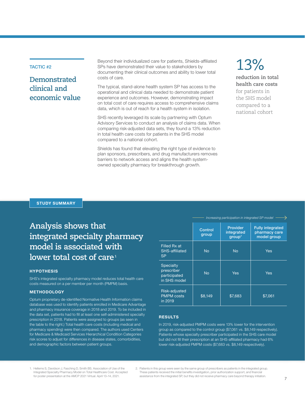## TACTIC #2

## **Demonstrated clinical and economic value**

Beyond their individualized care for patients, Shields-affiliated SPs have demonstrated their value to stakeholders by documenting their clinical outcomes and ability to lower total costs of care.

The typical, stand-alone health system SP has access to the operational and clinical data needed to demonstrate patient experience and outcomes. However, demonstrating impact on total cost of care requires access to comprehensive claims data, which is out of reach for a health system in isolation.

SHS recently leveraged its scale by partnering with Optum Advisory Services to conduct an analysis of claims data. When comparing risk-adjusted data sets, they found a 13% reduction in total health care costs for patients in the SHS model compared to a national cohort.

Shields has found that elevating the right type of evidence to plan sponsors, prescribers, and drug manufacturers removes barriers to network access and aligns the health systemowned specialty pharmacy for breakthrough growth.

## 13% **reduction in total health care costs**  for patients in

the SHS model compared to a national cohort

**STUDY SUMMARY**

## **Analysis shows that integrated specialty pharmacy model is associated with lower total cost of care <sup>1</sup>**

### **HYPOTHESIS**

SHS's integrated specialty pharmacy model reduces total health care costs measured on a per member per month (PMPM) basis.

#### **METHODOLOGY**

Optum proprietary de-identified Normative Health Information claims database was used to identify patients enrolled in Medicare Advantage and pharmacy insurance coverage in 2018 and 2019. To be included in the data set, patients had to fill at least one self-administered specialty prescription in 2018. Patients were assigned to groups (as seen in the table to the right.) Total health care costs (including medical and pharmacy spending) were then compared. The authors used Centers for Medicare & Medicaid Services Hierarchical Condition Categories risk scores to adjust for differences in disease states, comorbidities, and demographic factors between patient groups.

|                                                         | Control<br>group | <b>Provider</b><br>integrated<br>qroup <sup>2</sup> | <b>Fully integrated</b><br>pharmacy care<br>model group |
|---------------------------------------------------------|------------------|-----------------------------------------------------|---------------------------------------------------------|
| Filled Rx at<br>SHS-affiliated<br><b>SP</b>             | <b>No</b>        | No                                                  | <b>Yes</b>                                              |
| Specialty<br>prescriber<br>participated<br>in SHS model | <b>No</b>        | Yes                                                 | Yes                                                     |
| Risk-adjusted<br><b>PMPM</b> costs<br>in 2019           | \$8,149          | \$7,683                                             | \$7,061                                                 |

*Increasing participation in integrated SP model*

#### **RESULTS**

In 2019, risk-adjusted PMPM costs were 13% lower for the intervention group as compared to the control group (\$7,061 vs. \$8,149 respectively). Patients whose specialty prescriber participated in the SHS care model but did not fill their prescription at an SHS-affiliated pharmacy had 6% lower risk-adjusted PMPM costs (\$7,683 vs. \$8,149 respectively).

- 1. Hellems S, Davidson J, Fasching D, Smith BS. Association of Use of the Integrated Specialty Pharmacy Model on Total Healthcare Cost. Accepted for poster presentation at the AMCP 2021 Virtual. April 13–14, 2021.
- 2. Patients in this group were seen by the same group of prescribers as patients in the integrated group. These patients received the initial benefits investigation, prior authorization support, and financial assistance from the integrated SP, but they did not receive pharmacy care beyond therapy initiation.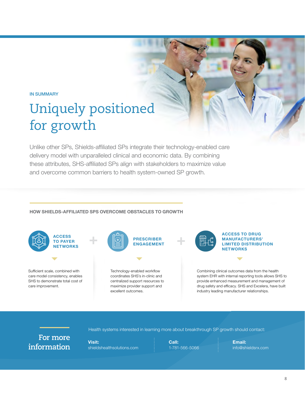## IN SUMMARY

# Uniquely positioned for growth

Unlike other SPs, Shields-affiliated SPs integrate their technology-enabled care delivery model with unparalleled clinical and economic data. By combining these attributes, SHS-affiliated SPs align with stakeholders to maximize value and overcome common barriers to health system-owned SP growth.

## **HOW SHIELDS-AFFILIATED SPS OVERCOME OBSTACLES TO GROWTH**



**For more information**

**Visit:** shieldshealthsolutions.com

**Call:** 1-781-566-5066

Health systems interested in learning more about breakthrough SP growth should contact:

**Email:** info@shieldsrx.com